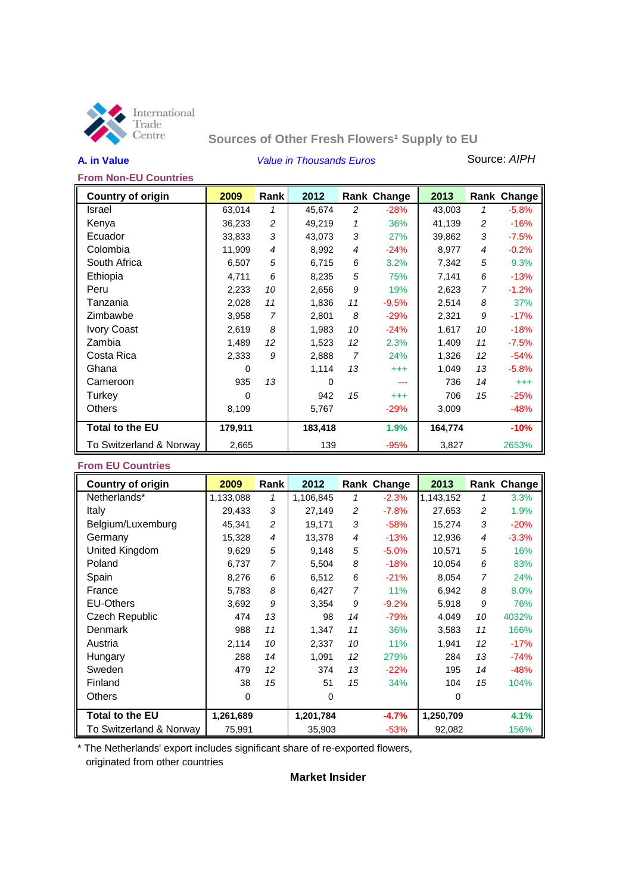

# **Sources of Other Fresh Flowers<sup>1</sup> Supply to EU**

**A. in Value** *Value in Thousands Euros* Source: *AIPH*

### **From Non-EU Countries**

| <b>Country of origin</b> | 2009     | Rank           | 2012     |    | Rank Change | 2013    |                | Rank Change |
|--------------------------|----------|----------------|----------|----|-------------|---------|----------------|-------------|
| Israel                   | 63,014   | 1              | 45,674   | 2  | $-28%$      | 43,003  | 1              | $-5.8%$     |
| Kenya                    | 36,233   | 2              | 49,219   | 1  | 36%         | 41,139  | 2              | $-16%$      |
| Ecuador                  | 33,833   | 3              | 43,073   | 3  | 27%         | 39,862  | 3              | $-7.5%$     |
| Colombia                 | 11,909   | $\overline{4}$ | 8,992    | 4  | $-24%$      | 8,977   | 4              | $-0.2%$     |
| South Africa             | 6,507    | 5              | 6,715    | 6  | 3.2%        | 7,342   | 5              | 9.3%        |
| Ethiopia                 | 4,711    | 6              | 8,235    | 5  | 75%         | 7,141   | 6              | $-13%$      |
| Peru                     | 2,233    | 10             | 2,656    | 9  | 19%         | 2,623   | $\overline{7}$ | $-1.2%$     |
| Tanzania                 | 2,028    | 11             | 1,836    | 11 | $-9.5%$     | 2,514   | 8              | 37%         |
| Zimbawbe                 | 3,958    | $\overline{7}$ | 2,801    | 8  | $-29%$      | 2,321   | 9              | $-17%$      |
| <b>Ivory Coast</b>       | 2,619    | 8              | 1,983    | 10 | $-24%$      | 1,617   | 10             | $-18%$      |
| Zambia                   | 1,489    | 12             | 1,523    | 12 | 2.3%        | 1,409   | 11             | $-7.5%$     |
| Costa Rica               | 2,333    | 9              | 2,888    | 7  | 24%         | 1,326   | 12             | $-54%$      |
| Ghana                    | 0        |                | 1,114    | 13 | $^{+++}$    | 1,049   | 13             | $-5.8%$     |
| Cameroon                 | 935      | 13             | $\Omega$ |    | ---         | 736     | 14             | $^{+++}$    |
| Turkey                   | $\Omega$ |                | 942      | 15 | $^{+++}$    | 706     | 15             | $-25%$      |
| Others                   | 8,109    |                | 5,767    |    | $-29%$      | 3,009   |                | -48%        |
| Total to the EU          | 179,911  |                | 183,418  |    | 1.9%        | 164,774 |                | $-10%$      |
| To Switzerland & Norway  | 2,665    |                | 139      |    | $-95%$      | 3,827   |                | 2653%       |

### **From EU Countries**

| <b>Country of origin</b> | 2009      | Rank           | 2012      |                | Rank Change | 2013      |                | Rank Change |
|--------------------------|-----------|----------------|-----------|----------------|-------------|-----------|----------------|-------------|
| Netherlands*             | 1,133,088 | $\mathcal I$   | 1,106,845 | 1              | $-2.3%$     | 1,143,152 | 1              | 3.3%        |
| Italy                    | 29,433    | 3              | 27,149    | $\overline{c}$ | $-7.8%$     | 27,653    | 2              | 1.9%        |
| Belgium/Luxemburg        | 45,341    | 2              | 19,171    | 3              | $-58%$      | 15,274    | 3              | $-20%$      |
| Germany                  | 15,328    | $\overline{4}$ | 13,378    | 4              | $-13%$      | 12,936    | $\overline{4}$ | $-3.3%$     |
| United Kingdom           | 9,629     | 5              | 9,148     | 5              | $-5.0%$     | 10,571    | 5              | 16%         |
| Poland                   | 6,737     | $\overline{7}$ | 5,504     | 8              | $-18%$      | 10,054    | 6              | 83%         |
| Spain                    | 8,276     | 6              | 6,512     | 6              | $-21%$      | 8,054     | $\overline{7}$ | 24%         |
| France                   | 5,783     | 8              | 6,427     | 7              | <b>11%</b>  | 6,942     | 8              | 8.0%        |
| <b>EU-Others</b>         | 3,692     | 9              | 3,354     | 9              | $-9.2%$     | 5,918     | 9              | 76%         |
| Czech Republic           | 474       | 13             | 98        | 14             | $-79%$      | 4,049     | 10             | 4032%       |
| Denmark                  | 988       | 11             | 1,347     | 11             | 36%         | 3.583     | 11             | 166%        |
| Austria                  | 2,114     | 10             | 2,337     | 10             | <b>11%</b>  | 1,941     | 12             | $-17%$      |
| Hungary                  | 288       | 14             | 1,091     | 12             | 279%        | 284       | 13             | $-74%$      |
| Sweden                   | 479       | 12             | 374       | 13             | $-22%$      | 195       | 14             | $-48%$      |
| Finland                  | 38        | 15             | 51        | 15             | 34%         | 104       | 15             | 104%        |
| <b>Others</b>            | 0         |                | 0         |                |             | 0         |                |             |
| <b>Total to the EU</b>   | 1,261,689 |                | 1,201,784 |                | $-4.7%$     | 1,250,709 |                | 4.1%        |
| To Switzerland & Norway  | 75,991    |                | 35,903    |                | $-53%$      | 92,082    |                | 156%        |

\* The Netherlands' export includes significant share of re-exported flowers, originated from other countries

**Market Insider**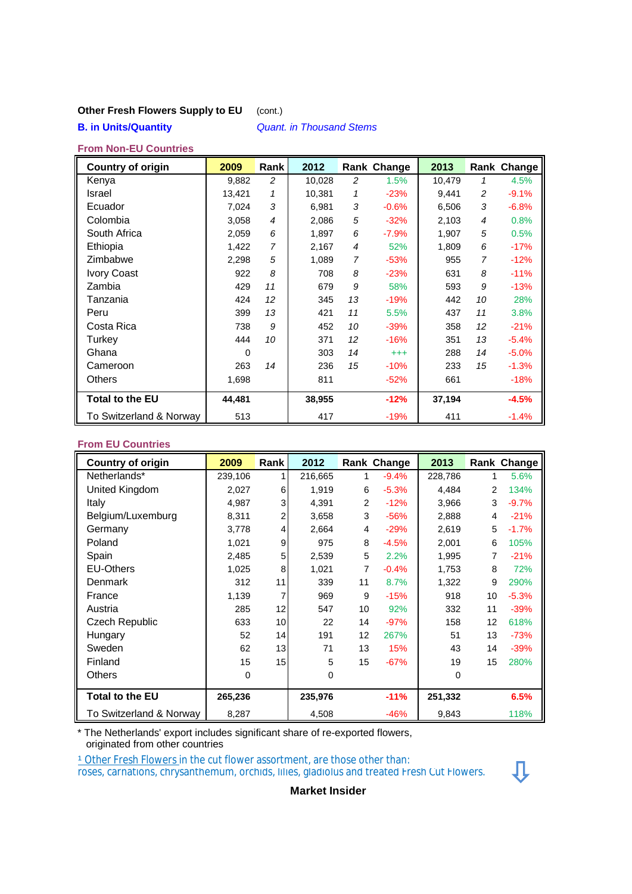## **Other Fresh Flowers Supply to EU** (cont.)

## **B. in Units/Quantity** *Quant. in Thousand Stems*

### **From Non-EU Countries**

| <b>Country of origin</b> | 2009     | Rank           | 2012   |                 | Rank Change | 2013   |    | Rank Change |
|--------------------------|----------|----------------|--------|-----------------|-------------|--------|----|-------------|
| Kenya                    | 9,882    | 2              | 10,028 | $\overline{c}$  | 1.5%        | 10,479 | 1  | 4.5%        |
| Israel                   | 13,421   | 1              | 10,381 | 1               | $-23%$      | 9,441  | 2  | $-9.1%$     |
| Ecuador                  | 7,024    | 3              | 6,981  | 3               | $-0.6%$     | 6,506  | 3  | $-6.8%$     |
| Colombia                 | 3,058    | $\overline{4}$ | 2,086  | 5               | $-32%$      | 2,103  | 4  | 0.8%        |
| South Africa             | 2,059    | 6              | 1,897  | 6               | $-7.9%$     | 1,907  | 5  | 0.5%        |
| Ethiopia                 | 1,422    | $\overline{7}$ | 2,167  | 4               | 52%         | 1,809  | 6  | $-17%$      |
| Zimbabwe                 | 2,298    | 5              | 1,089  | 7               | $-53%$      | 955    | 7  | $-12%$      |
| <b>Ivory Coast</b>       | 922      | 8              | 708    | 8               | $-23%$      | 631    | 8  | $-11%$      |
| Zambia                   | 429      | 11             | 679    | 9               | 58%         | 593    | 9  | $-13%$      |
| Tanzania                 | 424      | 12             | 345    | 13              | $-19%$      | 442    | 10 | 28%         |
| Peru                     | 399      | 13             | 421    | 11              | 5.5%        | 437    | 11 | 3.8%        |
| Costa Rica               | 738      | 9              | 452    | 10              | $-39%$      | 358    | 12 | $-21%$      |
| Turkey                   | 444      | 10             | 371    | 12 <sup>2</sup> | $-16%$      | 351    | 13 | $-5.4%$     |
| Ghana                    | $\Omega$ |                | 303    | 14              | $^{+++}$    | 288    | 14 | $-5.0%$     |
| Cameroon                 | 263      | 14             | 236    | 15              | $-10%$      | 233    | 15 | $-1.3%$     |
| <b>Others</b>            | 1,698    |                | 811    |                 | $-52%$      | 661    |    | $-18%$      |
| <b>Total to the EU</b>   | 44.481   |                | 38,955 |                 | $-12%$      | 37,194 |    | $-4.5%$     |
| To Switzerland & Norway  | 513      |                | 417    |                 | $-19%$      | 411    |    | $-1.4%$     |

### **From EU Countries**

| <b>Country of origin</b> | 2009    | <b>Rank</b>     | 2012    |    | Rank Change | 2013    |    | Rank Change |
|--------------------------|---------|-----------------|---------|----|-------------|---------|----|-------------|
| Netherlands*             | 239,106 | $\mathbf{1}$    | 216,665 | 1  | $-9.4%$     | 228,786 |    | 5.6%        |
| United Kingdom           | 2,027   | 6               | 1,919   | 6  | $-5.3%$     | 4,484   | 2  | 134%        |
| Italy                    | 4,987   | 3               | 4,391   | 2  | $-12%$      | 3,966   | 3  | $-9.7%$     |
| Belgium/Luxemburg        | 8,311   | 2               | 3,658   | 3  | $-56%$      | 2,888   | 4  | $-21%$      |
| Germany                  | 3,778   | $\overline{4}$  | 2,664   | 4  | $-29%$      | 2,619   | 5  | $-1.7%$     |
| Poland                   | 1,021   | 9               | 975     | 8  | $-4.5%$     | 2,001   | 6  | 105%        |
| Spain                    | 2,485   | 5               | 2,539   | 5  | 2.2%        | 1,995   | 7  | $-21%$      |
| <b>EU-Others</b>         | 1,025   | 8               | 1,021   | 7  | $-0.4%$     | 1,753   | 8  | 72%         |
| Denmark                  | 312     | 11              | 339     | 11 | 8.7%        | 1,322   | 9  | 290%        |
| France                   | 1,139   | 7               | 969     | 9  | $-15%$      | 918     | 10 | $-5.3%$     |
| Austria                  | 285     | 12 <sub>1</sub> | 547     | 10 | 92%         | 332     | 11 | $-39%$      |
| <b>Czech Republic</b>    | 633     | 10              | 22      | 14 | $-97%$      | 158     | 12 | 618%        |
| Hungary                  | 52      | 14              | 191     | 12 | 267%        | 51      | 13 | $-73%$      |
| Sweden                   | 62      | 13              | 71      | 13 | 15%         | 43      | 14 | $-39%$      |
| Finland                  | 15      | 15              | 5       | 15 | $-67%$      | 19      | 15 | 280%        |
| Others                   | 0       |                 | 0       |    |             | 0       |    |             |
| <b>Total to the EU</b>   | 265,236 |                 | 235,976 |    | $-11%$      | 251,332 |    | 6.5%        |
| To Switzerland & Norway  | 8,287   |                 | 4,508   |    | $-46%$      | 9,843   |    | 118%        |

\* The Netherlands' export includes significant share of re-exported flowers, originated from other countries

<u><sup>1</sup> Other Fresh Flowers i</u>n the cut flower assortment, are those other than:

roses, carnations, chrysanthemum, orchids, lilies, gladiolus and treated Fresh Cut Flowers.



**Market Insider**